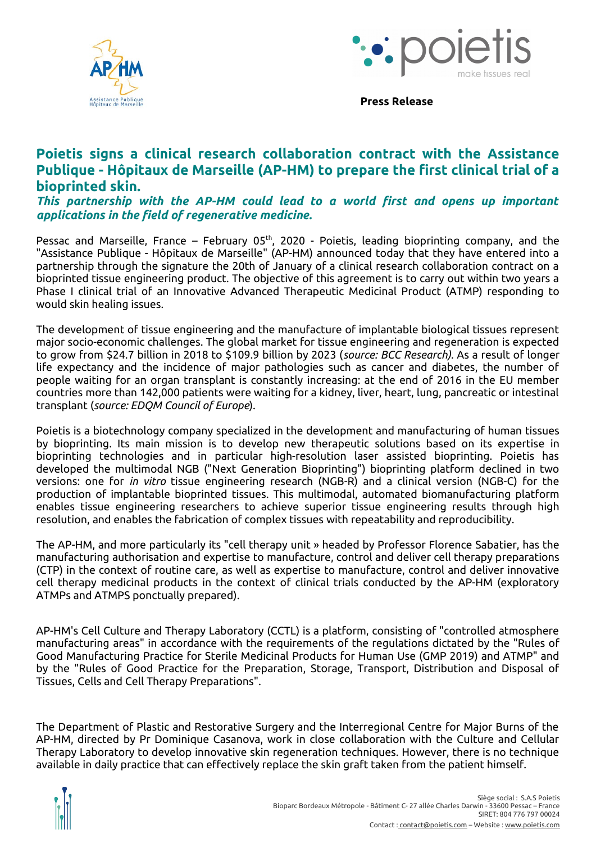



**Press Release**

## **Poietis signs a clinical research collaboration contract with the Assistance Publique - Hôpitaux de Marseille (AP-HM) to prepare the first clinical trial of a bioprinted skin.**

*This partnership with the AP-HM could lead to a world first and opens up important applications in the field of regenerative medicine.*

Pessac and Marseille, France – February  $05<sup>th</sup>$ , 2020 - Poietis, leading bioprinting company, and the "Assistance Publique - Hôpitaux de Marseille" (AP-HM) announced today that they have entered into a partnership through the signature the 20th of January of a clinical research collaboration contract on a bioprinted tissue engineering product. The objective of this agreement is to carry out within two years a Phase I clinical trial of an Innovative Advanced Therapeutic Medicinal Product (ATMP) responding to would skin healing issues.

The development of tissue engineering and the manufacture of implantable biological tissues represent major socio-economic challenges. The global market for tissue engineering and regeneration is expected to grow from \$24.7 billion in 2018 to \$109.9 billion by 2023 (*source: BCC Research).* As a result of longer life expectancy and the incidence of major pathologies such as cancer and diabetes, the number of people waiting for an organ transplant is constantly increasing: at the end of 2016 in the EU member countries more than 142,000 patients were waiting for a kidney, liver, heart, lung, pancreatic or intestinal transplant (*source: EDQM Council of Europe*).

Poietis is a biotechnology company specialized in the development and manufacturing of human tissues by bioprinting. Its main mission is to develop new therapeutic solutions based on its expertise in bioprinting technologies and in particular high-resolution laser assisted bioprinting. Poietis has developed the multimodal NGB ("Next Generation Bioprinting") bioprinting platform declined in two versions: one for *in vitro* tissue engineering research (NGB-R) and a clinical version (NGB-C) for the production of implantable bioprinted tissues. This multimodal, automated biomanufacturing platform enables tissue engineering researchers to achieve superior tissue engineering results through high resolution, and enables the fabrication of complex tissues with repeatability and reproducibility.

The AP-HM, and more particularly its "cell therapy unit » headed by Professor Florence Sabatier, has the manufacturing authorisation and expertise to manufacture, control and deliver cell therapy preparations (CTP) in the context of routine care, as well as expertise to manufacture, control and deliver innovative cell therapy medicinal products in the context of clinical trials conducted by the AP-HM (exploratory ATMPs and ATMPS ponctually prepared).

AP-HM's Cell Culture and Therapy Laboratory (CCTL) is a platform, consisting of "controlled atmosphere manufacturing areas" in accordance with the requirements of the regulations dictated by the "Rules of Good Manufacturing Practice for Sterile Medicinal Products for Human Use (GMP 2019) and ATMP" and by the "Rules of Good Practice for the Preparation, Storage, Transport, Distribution and Disposal of Tissues, Cells and Cell Therapy Preparations".

The Department of Plastic and Restorative Surgery and the Interregional Centre for Major Burns of the AP-HM, directed by Pr Dominique Casanova, work in close collaboration with the Culture and Cellular Therapy Laboratory to develop innovative skin regeneration techniques. However, there is no technique available in daily practice that can effectively replace the skin graft taken from the patient himself.